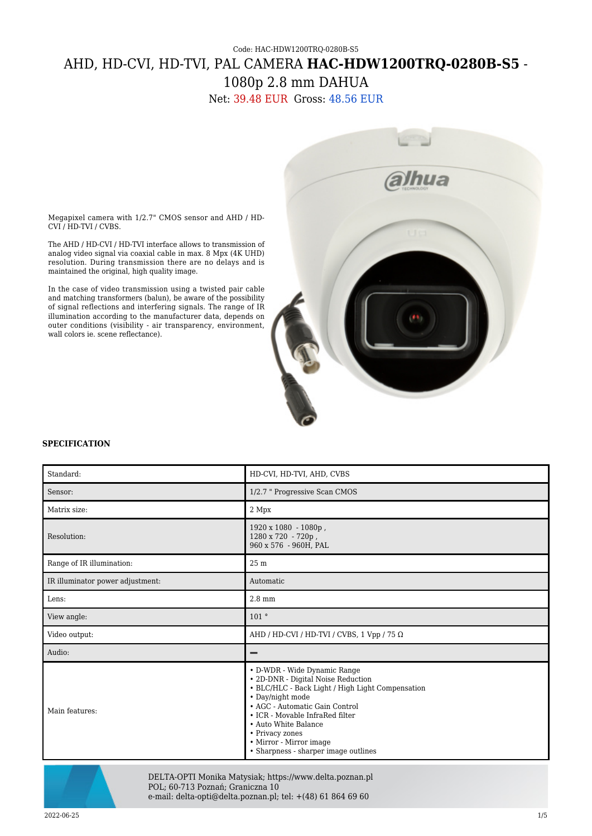## Code: HAC-HDW1200TRQ-0280B-S5 AHD, HD-CVI, HD-TVI, PAL CAMERA **HAC-HDW1200TRQ-0280B-S5** -

1080p 2.8 mm DAHUA

Net: 39.48 EUR Gross: 48.56 EUR



Megapixel camera with 1/2.7" CMOS sensor and AHD / HD-CVI / HD-TVI / CVBS.

The AHD / HD-CVI / HD-TVI interface allows to transmission of analog video signal via coaxial cable in max. 8 Mpx (4K UHD) resolution. During transmission there are no delays and is maintained the original, high quality image.

In the case of video transmission using a twisted pair cable and matching transformers (balun), be aware of the possibility of signal reflections and interfering signals. The range of IR illumination according to the manufacturer data, depends on outer conditions (visibility - air transparency, environment, wall colors ie. scene reflectance).

## **SPECIFICATION**

| Standard:                        | HD-CVI, HD-TVI, AHD, CVBS                                                                                                                                                                                                                                                                                                     |
|----------------------------------|-------------------------------------------------------------------------------------------------------------------------------------------------------------------------------------------------------------------------------------------------------------------------------------------------------------------------------|
| Sensor:                          | 1/2.7 " Progressive Scan CMOS                                                                                                                                                                                                                                                                                                 |
| Matrix size:                     | 2 Mpx                                                                                                                                                                                                                                                                                                                         |
| Resolution:                      | 1920 x 1080 - 1080p,<br>1280 x 720 - 720p,<br>960 x 576 - 960H, PAL                                                                                                                                                                                                                                                           |
| Range of IR illumination:        | 25 m                                                                                                                                                                                                                                                                                                                          |
| IR illuminator power adjustment: | Automatic                                                                                                                                                                                                                                                                                                                     |
| Lens:                            | $2.8 \text{ mm}$                                                                                                                                                                                                                                                                                                              |
| View angle:                      | 101°                                                                                                                                                                                                                                                                                                                          |
| Video output:                    | AHD / HD-CVI / HD-TVI / CVBS, 1 Vpp / 75 $\Omega$                                                                                                                                                                                                                                                                             |
| Audio:                           |                                                                                                                                                                                                                                                                                                                               |
| Main features:                   | • D-WDR - Wide Dynamic Range<br>• 2D-DNR - Digital Noise Reduction<br>• BLC/HLC - Back Light / High Light Compensation<br>• Day/night mode<br>• AGC - Automatic Gain Control<br>• ICR - Movable InfraRed filter<br>• Auto White Balance<br>• Privacy zones<br>• Mirror - Mirror image<br>• Sharpness - sharper image outlines |



DELTA-OPTI Monika Matysiak; https://www.delta.poznan.pl POL; 60-713 Poznań; Graniczna 10 e-mail: delta-opti@delta.poznan.pl; tel: +(48) 61 864 69 60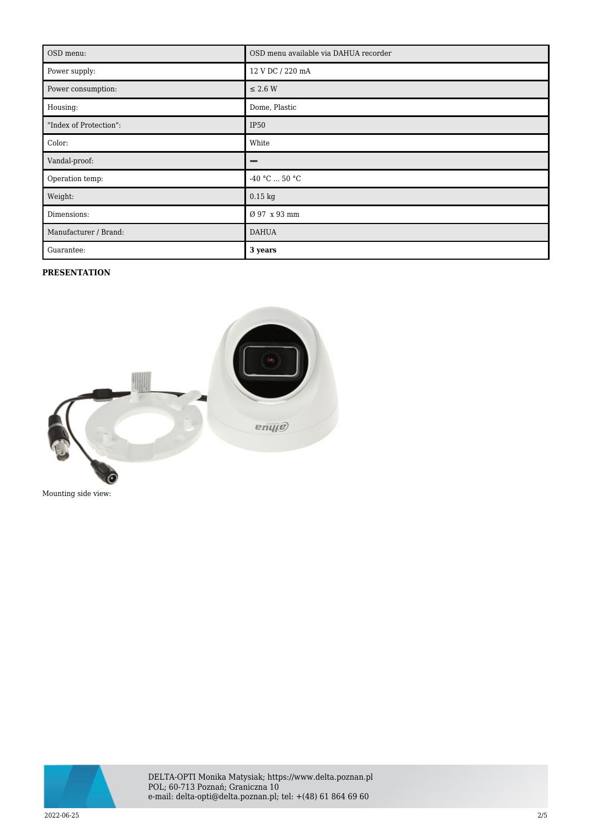| OSD menu:              | OSD menu available via DAHUA recorder |
|------------------------|---------------------------------------|
| Power supply:          | 12 V DC / 220 mA                      |
| Power consumption:     | $\leq$ 2.6 W                          |
| Housing:               | Dome, Plastic                         |
| "Index of Protection": | <b>IP50</b>                           |
| Color:                 | White                                 |
| Vandal-proof:          | -                                     |
| Operation temp:        | -40 °C $\ldots$ 50 °C                 |
| Weight:                | $0.15$ kg                             |
| Dimensions:            | Ø 97 x 93 mm                          |
| Manufacturer / Brand:  | <b>DAHUA</b>                          |
| Guarantee:             | 3 years                               |

## **PRESENTATION**



Mounting side view:

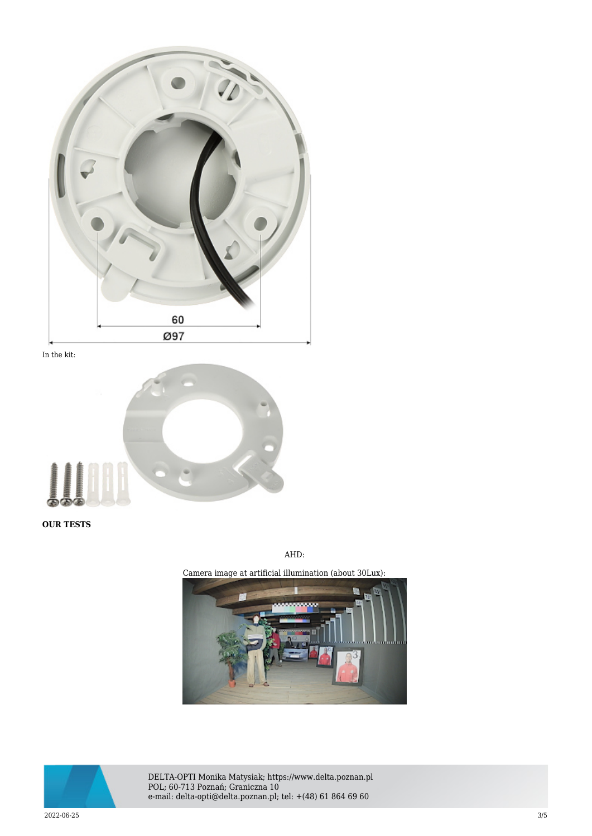

In the kit:



**OUR TESTS**

AHD:

Camera image at artificial illumination (about 30Lux):





DELTA-OPTI Monika Matysiak; https://www.delta.poznan.pl POL; 60-713 Poznań; Graniczna 10 e-mail: delta-opti@delta.poznan.pl; tel: +(48) 61 864 69 60

2022-06-25 3/5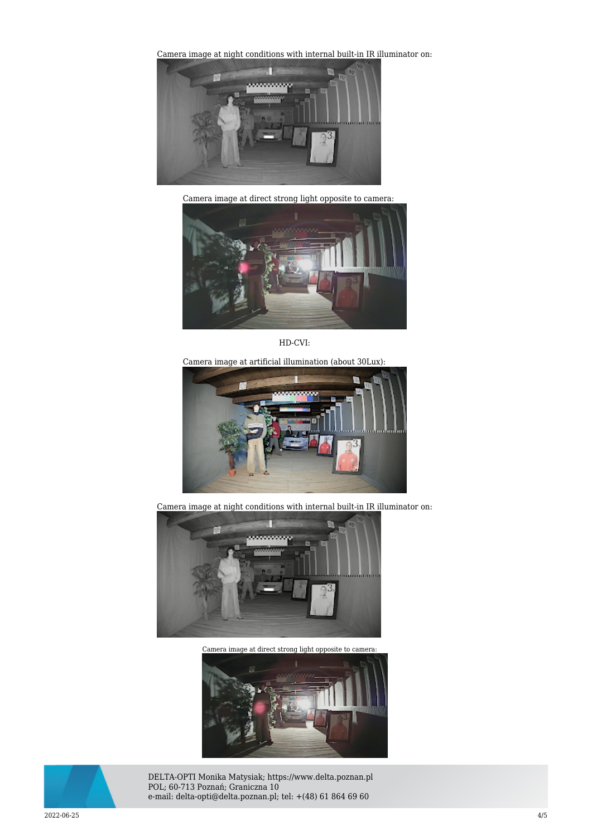[Camera image at night conditions with internal built-in IR il](https://sklep.delta.poznan.pl/obrazki2/hac-hdw1200trq-0280b_ahd_img11_d.jpg)luminator on:



Camera image at direct strong light opposite to camera:



HD-CVI:

Camera image at artificial illumination (about 30Lux):



Camera image at night conditions with internal built-in IR illuminator on:



[Camera image at direct strong light opposite to camera:](https://sklep.delta.poznan.pl/obrazki2/hac-hdw1200trq-0280b_cvi_img12_d.jpg) 





DELTA-OPTI Monika Matysiak; https://www.delta.poznan.pl POL; 60-713 Poznań; Graniczna 10 e-mail: delta-opti@delta.poznan.pl; tel: +(48) 61 864 69 60

2022-06-25 4/5